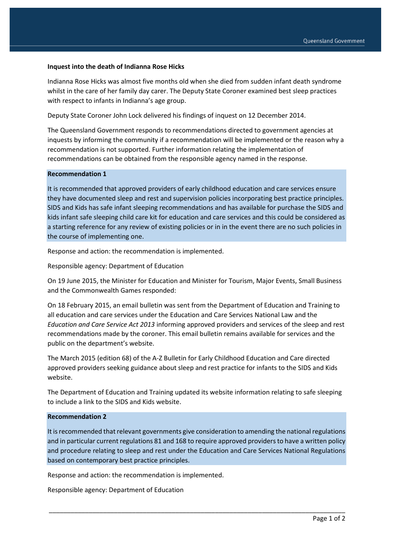## **Inquest into the death of Indianna Rose Hicks**

Indianna Rose Hicks was almost five months old when she died from sudden infant death syndrome whilst in the care of her family day carer. The Deputy State Coroner examined best sleep practices with respect to infants in Indianna's age group.

Deputy State Coroner John Lock delivered his findings of inquest on 12 December 2014.

The Queensland Government responds to recommendations directed to government agencies at inquests by informing the community if a recommendation will be implemented or the reason why a recommendation is not supported. Further information relating the implementation of recommendations can be obtained from the responsible agency named in the response.

## **Recommendation 1**

It is recommended that approved providers of early childhood education and care services ensure they have documented sleep and rest and supervision policies incorporating best practice principles. SIDS and Kids has safe infant sleeping recommendations and has available for purchase the SIDS and kids infant safe sleeping child care kit for education and care services and this could be considered as a starting reference for any review of existing policies or in in the event there are no such policies in the course of implementing one.

Response and action: the recommendation is implemented.

Responsible agency: Department of Education

On 19 June 2015, the Minister for Education and Minister for Tourism, Major Events, Small Business and the Commonwealth Games responded:

On 18 February 2015, an email bulletin was sent from the Department of Education and Training to all education and care services under the Education and Care Services National Law and the *Education and Care Service Act 2013* informing approved providers and services of the sleep and rest recommendations made by the coroner. This email bulletin remains available for services and the public on the department's website.

The March 2015 (edition 68) of the A-Z Bulletin for Early Childhood Education and Care directed approved providers seeking guidance about sleep and rest practice for infants to the SIDS and Kids website.

The Department of Education and Training updated its website information relating to safe sleeping to include a link to the SIDS and Kids website.

## **Recommendation 2**

It is recommended that relevant governments give consideration to amending the national regulations and in particular current regulations 81 and 168 to require approved providers to have a written policy and procedure relating to sleep and rest under the Education and Care Services National Regulations based on contemporary best practice principles.

\_\_\_\_\_\_\_\_\_\_\_\_\_\_\_\_\_\_\_\_\_\_\_\_\_\_\_\_\_\_\_\_\_\_\_\_\_\_\_\_\_\_\_\_\_\_\_\_\_\_\_\_\_\_\_\_\_\_\_\_\_\_\_\_\_\_\_\_\_\_\_\_\_\_\_\_\_\_\_\_\_\_

Response and action: the recommendation is implemented.

Responsible agency: Department of Education